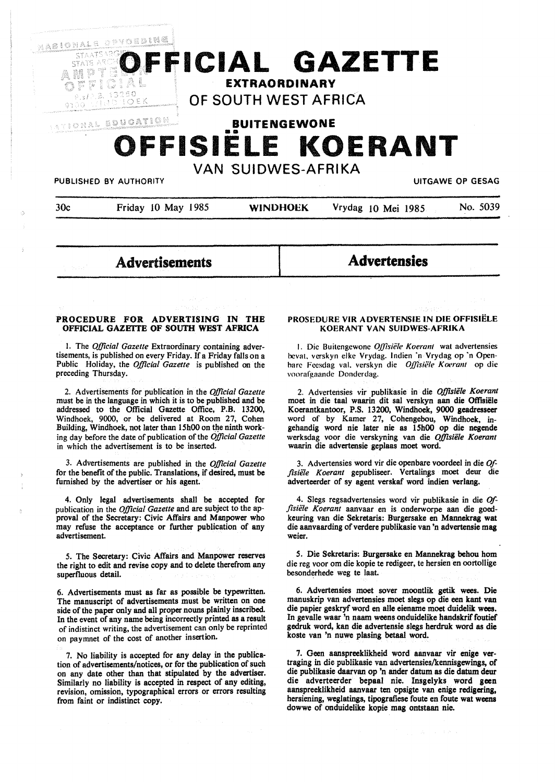

# **Advertisements**

**Advertensies** 

### **PROCEDURE FOR ADVERTISING IN THE OFFICIAL GAZEITE OF SOUTH WEST AFRICA**

1. The *Official Gazette* Extraordinary containing advertisements, is published on every Friday. If a Friday falls on a Public Holiday, the *Official Gazette* is published on the preceding Thursday.

2. Advertisements for publication in the *Official Gazette*  must be in the language in which it is to be published and be addressed to the Official Gazette Office, P.B. 13200, Windhoek, 9000, or be delivered at Room 27, Cohen Building, Windhoek, not later than 15h00 on the ninth working day before the date of publication of the *Official Gazette*  in which the advertisement is to be inserted.

3. Advertisements are published in the *Official Gazette*  for the benefit of the public. Translations, if desired, must be furnished by the advertiser or his agent.

4. Only legal advertisements shall be accepted for publication in the *Official Gazette* and are subject to the approval of the Secretary: Civic Affairs and Manpower who may refuse the acceptance or further publication of any advertisement.

*5.* The Secretary: Civic Affairs and Manpower reserves the right to edit and revise copy and to delete therefrom any superfluous detail.

6. Advertisements must as far as possible be typewritten. The manuscript of advertisements must be written on one side of the paper only and all proper nouns plainly inscribed. In the event of any name being incorrectly printed as a result of indistinct writing, the advertisement can only be reprinted on paymnet of the cost of another insertion.

7. No liability is accepted for any delay in the publication of advertisements/notices, or for the publication of such on any date other than that stipulated by the advertiser. Similarly no liability is accepted in respect of any editing, revision, omission, typographical errors or errors resulting from faint or indistinct copy.

### **PROSEDURE VIR ADVERTENSIE IN DIE OFFISIELE KOERANT VAN SUIDWES-AFRIKA**

I. Die Buitengewone *OJ]isiele Koerant* wat advertensies hevat. verskyn elke Vrydag. lndien ·n Vrydag op ·n Openbare Feesdag val. verskyn die *Offisiële Koerant* op die voorafgaande Donderdag.

2. Advertensies vir publikasie in die *Offisiele Koerant*  moet in die taal waarin dit sal verskyn aan die Offisiele Koerantkantoor, P.S. 13200, Windhoek, 9000 geadresseer word of by Kamer 27, Cohengebou, Windhoek, ingehandig word nie later nie as 15h00 op die negende werksdag voor die verskyning van die *Offisiele Koerant*  waarin die advertensie geplaas moet word.

3. Advertensies word vir die openbare voordeel in die *Of*fisiële Koerant gepubliseer. Vertalings moet deur die adverteerder of sy agent verskaf word indien verlang.

4. Slegs regsadvertensies word vir publikasie in die *Offisiele Koerant* aanvaar en is onderworpe aan die goedkeuring van die Sekretaris: Burgersake en **Mannekrag wat**  die aanvaarding of verdere publikasie van 'n advertensie mag weier.

*5.* Die Sekretaris: Burgersake en Mannekrag behou hom die reg voor om die kopie te redigeer, te hersien en oortollige besonderhede weg te laat.

6. Advertensies moet sover moontlik getik wees. Die manuskrip van advertensies moet slegs op die een kant van die papier geskryf word en alle eiename moet duidelik wees. In gevalle waar 'n naam weens onduidelike handskrif foutief gedruk word, kan die advertensie slegs herdruk word as die koste van 'n nuwe plasing betaal word.

7. Geen aanspreeklikheid word aanvaar vir **enige** vertraging in die publikasie van advertensies/kennisgewings, of die publikasie daarvan op 'n ander datum as die datum deur die adverteerder bepaal nie. Insgelyks word **geen**  aanspreeklikheid aanvaar ten opsigte van enige redigering, hersiening, weglatings, tipografiese foute en foute wat weens dowwe of onduidelike kopie mag ontstaan nie.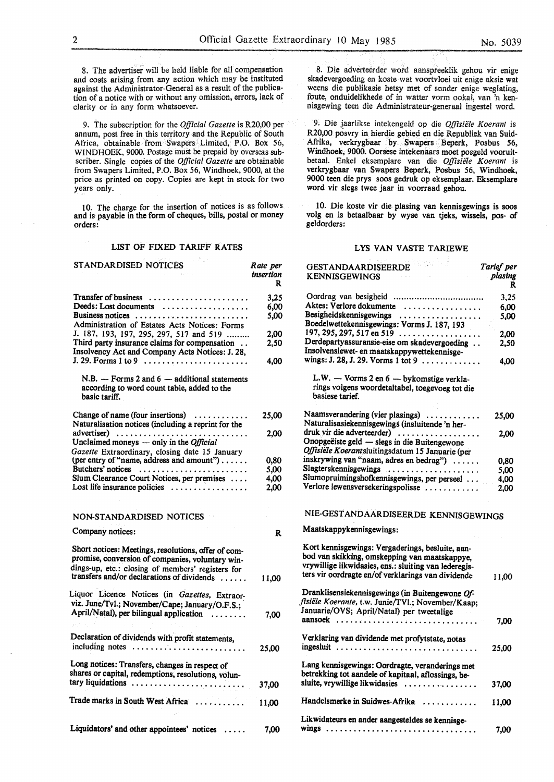8. The advertiser will be held liable for all compensation and costs arising from any action which may be instituted against the Administrator-General as a result of the publication of a notice with or without any omission, errors, lack of clarity or in any form whatsoever.

9. The subscription for the *Official Gazette* is R20,00 per annum, post free in this territory and the Republic of South Africa, obtainable from Swapers Limited, P.O. Box 56, WINDHOEK, 9000. Postage must be prepaid by overseas subscriber. Single copies of the *Official Gazette* are obtainable from Swapers Limited, P.O. Box 56, Windhoek, 9000, at the price as printed on copy. Copies are kept in stock for two years only.

10. The charge for the insertion of notices is as follows and is payable in the form of cheques, bills, postal or money orders:

### LIST OF FIXED TARIFF RATES

| STANDARDISED NOTICES                                                                                                                                                                                       | Rate per<br>insertion<br>R |
|------------------------------------------------------------------------------------------------------------------------------------------------------------------------------------------------------------|----------------------------|
| Transfer of business<br>.                                                                                                                                                                                  | 3.25                       |
| Deeds: Lost documents                                                                                                                                                                                      | 6.00                       |
| Business notices                                                                                                                                                                                           | 5,00                       |
| Administration of Estates Acts Notices: Forms                                                                                                                                                              |                            |
| J. 187, 193, 197, 295, 297, 517 and 519                                                                                                                                                                    | 2.00                       |
| Third party insurance claims for compensation<br>Insolvency Act and Company Acts Notices: J. 28,                                                                                                           | 2,50                       |
|                                                                                                                                                                                                            | 4,00                       |
| $N.B.$ - Forms 2 and 6 - additional statements<br>according to word count table, added to the<br>basic tariff.                                                                                             |                            |
| Change of name (four insertions)<br>.                                                                                                                                                                      | 25,00                      |
| Naturalisation notices (including a reprint for the                                                                                                                                                        |                            |
| advertiser)<br>$\sim$ $\sim$ $\sim$ $\sim$<br>Unclaimed moneys — only in the <i>Official</i>                                                                                                               | 2,00                       |
| Gazette Extraordinary, closing date 15 January                                                                                                                                                             |                            |
| (per entry of "name, address and amount") $\dots$ .                                                                                                                                                        | 0.80                       |
| Butchers' notices                                                                                                                                                                                          | 5.00                       |
| Slum Clearance Court Notices, per premises                                                                                                                                                                 | 4.00                       |
| Lost life insurance policies                                                                                                                                                                               | 2,00                       |
| NON-STANDARDISED NOTICES                                                                                                                                                                                   |                            |
| Company notices:                                                                                                                                                                                           | R                          |
| Short notices: Meetings, resolutions, offer of com-<br>promise, conversion of companies, voluntary win-<br>dings-up, etc.: closing of members' registers for<br>transfers and/or declarations of dividends | 11,00                      |
| Liquor Licence Notices (in Gazettes, Extraor-                                                                                                                                                              |                            |
| viz. June/Tvl.; November/Cape; January/O.F.S.;                                                                                                                                                             |                            |
| April/Natal), per bilingual application<br>.                                                                                                                                                               | 7,00                       |
|                                                                                                                                                                                                            |                            |
| Declaration of dividends with profit statements,<br>including notes                                                                                                                                        | 25,00                      |
| Long notices: Transfers, changes in respect of<br>shares or capital, redemptions, resolutions, volun-                                                                                                      |                            |
| tary liquidations                                                                                                                                                                                          | 37,00                      |
| Trade marks in South West Africa                                                                                                                                                                           | 11,00                      |
| Liquidators' and other appointees' notices                                                                                                                                                                 | 7,00                       |

8. Die adverteerder word aanspreeklik gehou vir enige weens die publikasie hetsy met of sonder enige weglating, foute, onduidelikhede of in watter vorm ookal, van 'n kennisgewing teen die Administrateur-generaal ingestei word.

9. Die jaarlikse intekengeld op die Offisiële Koerant is R20,00 posvry in hierdie gebied en die Republiek van Suid-Afrika, verkrygbaar by Swapers Beperk, Posbus 56, Windhoek, 9000. Oorsese intekenaars moet posgeld vooruitbetaal. Enke! eksemplare van die *Offisiele Koerant* is verkrygbaar van Swapers Beperk, Posbus 56, Windhoek, 9000 teen die prys soos gedruk op eksemplaar. Eksemplare word vir slegs twee jaar in voorraad gehou.

10. Die koste vir die plasing van kennisgewings is soos volg en is betaalbaar by wyse van tjeks, wissels, pos- of geldorders:

#### LYS VAN VASTE TARIEWE

| <b>GESTANDAARDISEERDE</b>                             | Tarief per   |
|-------------------------------------------------------|--------------|
| <b>KENNISGEWINGS</b>                                  | plasing<br>R |
|                                                       | 3,25         |
| Aktes: Verlore dokumente                              | 6,00         |
| Besigheidskennisgewings                               |              |
| Boedelwettekennisgewings: Vorms J. 187, 193           | 5,00         |
| 197, 295, 297, 517 en 519 $\dots$                     |              |
| Derdepartyassuransie-eise om skadevergoeding          | 2,00         |
| Insolvensiewet- en maatskappywettekennisge-           | 2,50         |
| wings: J. 28, J. 29. Vorms 1 tot 9                    | 4,00         |
| L.W. - Vorms 2 en 6 - bykomstige verkla-              |              |
| rings volgens woordetaltabel, toegevoeg tot die       |              |
| basiese tarief.                                       |              |
| Naamsverandering (vier plasings)                      | 25,00        |
| Naturalisasiekennisgewings (insluitende 'n her-       |              |
| druk vir die adverteerder)                            | 2,00         |
| Onopgeëiste geld — slegs in die Buitengewone          |              |
| Offisiële Koerantsluitingsdatum 15 Januarie (per      |              |
| inskrywing van "naam, adres en bedrag")               | 0,80         |
| Slagterskennisgewings                                 |              |
| Slumopruimingshofkennisgewings, per perseel           | 5.00         |
|                                                       | 4,00         |
| Verlore lewensversekeringspolisse                     | 2,00         |
| NIE-GESTANDAARDISEERDE KENNISGEWINGS                  |              |
| Maatskappykennisgewings:                              |              |
|                                                       |              |
| Kort kennisgewings: Vergaderings, besluite, aan-      |              |
| bod van skikking, omskepping van maatskappye,         |              |
| vrywillige likwidasies, ens.: sluiting van lederegis- |              |
| ters vir oordragte en/of verklarings van dividende    | 11,00        |
|                                                       |              |
| Dranklisensiekennisgewings (in Buitengewone Of-       |              |
| fisiële Koerante, t.w. Junie/TVl.; November/Kaap;     |              |
| Januarie/OVS; April/Natal) per tweetalige             |              |
|                                                       | 7,00         |
| Verklaring van dividende met profytstate, notas       |              |
| ingesluit                                             |              |
|                                                       | 25,00        |
| Lang kennisgewings: Oordragte, veranderings met       |              |
| betrekking tot aandele of kapitaal, aflossings, be-   |              |
| sluite, vrywillige likwidasies                        | 37,00        |
|                                                       |              |
| Handelsmerke in Suidwes-Afrika                        | 11.00        |
|                                                       |              |
| Likwidateurs en ander aangesteldes se kennisge-       |              |
|                                                       | 7,00         |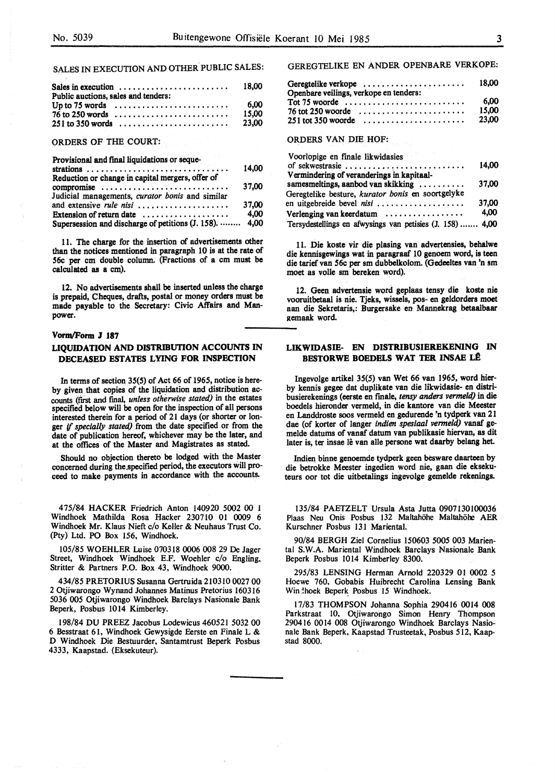### SALES IN EXECUTION AND OTHER PUBLIC SALES:

| Public auctions, sales and tenders:                                  |       |
|----------------------------------------------------------------------|-------|
| Up to 75 words $\dots \dots \dots \dots \dots \dots \dots \dots$     | 6.00  |
| $76$ to 250 words $\ldots \ldots \ldots \ldots \ldots \ldots \ldots$ | 15.00 |
| $251$ to $350$ words                                                 | 23.00 |

#### ORDERS OF THE COURT:

Provisional and final liquidations or seque-

| strations                                                 | 14.00 |
|-----------------------------------------------------------|-------|
| Reduction or change in capital mergers, offer of          |       |
| compromise                                                | 37.00 |
| Judicial managements, curator bonis and similar           |       |
| and extensive rule nisi                                   | 37.00 |
| Extension of return date $\dots\dots\dots\dots\dots\dots$ | 4.00  |
| Supersession and discharge of petitions (J. 158).  4,00   |       |

11. The charge for the insertion of advertisements other than the notices mentioned in paragraph 10 is at the rate of 56c per cm double column. (Fractions of a cm must be calculated as a cm).

12. No advertisements shall be inserted unless the charge is prepaid, Cheques, drafts, postal or money orders must be made payable to the Secretary: Civic Affairs and Manpower.

#### Vorm/Form **J 187**

### **LIQUIDATION AND DISTRIBUTION ACCOUNTS IN DECEASED ESTATES LYING FOR INSPECTION**

In terms of section 35(5) of Act 66 of 1965, notice is hereby given that copies of the liquidation and distribution accounts (first and final, *unless otherwise stated)* in the estates specified below will be open for the inspection of all persons interested therein for a period of 21 days (or shorter or longer if *specially stated)* from the date specified or from the date of publication hereof, whichever may be the later, and at the offices of the Master and Magistrates as stated.

Should no objection thereto be lodged with the Master concerned during the.specified period, the executors will proceed to make payments in accordance with the accounts.

4 75/84 HACKER Friedrich Anton 140920 5002 00 I Windhoek Mathilda Rosa Hacker 230710 01 0009 6 Windhoek Mr. Klaus Nieft c/o KeHer & Neuhaus Trust Co. (Pty) Ltd. PO Box 156, Windhoek.

105/85 WOEHLER Luise 070318 0006 008 29 De Jager Street, Windhoek Windhoek E.F. Woehler c/o Engling, Stritter & Partners P.O. Box 43, Windhoek 9000.

434/85 PRETORIUS Susanna Gertruida 210310 0027 00 2 Otjiwarongo Wynand Johannes Matinus Pretorius 160316 5036 005 Otjiwarongo Windhoek Barclays Nasionale Bank Beperk, Posbus 1014 Kimberley.

198/84 DU PREEZ Jacobus Lodewicus 460521 5032 00 6 Besstraat 61, Windhoek Gewysigde Eerste en Finale L & D Windhoek Die Bestuurder, Santamtrust Beperk Posbus 4333, Kaapstad. (Eksekuteur).

GEREGTELIKE EN ANDER OPENBARE VERKOPE:

| Geregtelike verkope<br>Openbare veilings, verkope en tenders: | 18.00 |
|---------------------------------------------------------------|-------|
|                                                               | 6.00  |
| $76$ tot 250 woorde                                           | 15.00 |
|                                                               | 23.00 |

#### ORDERS VAN DIE HOF:

| Voorlopige en finale likwidasies                          |       |
|-----------------------------------------------------------|-------|
| of sekwestrasie                                           | 14.00 |
| Vermindering of veranderings in kapitaal-                 |       |
| samesmeltings, aanbod van skikking                        | 37,00 |
| Geregtelike besture, kurator bonis en soortgelyke         |       |
| en uitgebreide bevel nisi                                 | 37,00 |
| Verlenging van keerdatum                                  | 4.00  |
| Tersydestellings en afwysings van petisies (J. 158)  4,00 |       |

11. Die koste vir die plasing van advertensies, behalwe die kennisgewings wat in paragraaf 10 genoem word, is teen die tarief van 56c per sm dubbelkolom. (Gedeeltes van 'n sm moet as volle sm bereken word).

12. Geen advertensie word geplaas tensy die koste nie vooruitbetaal is nie. Tjeks, wissels, pos- en geldorders moet aan die Sekretaris,: Burgersake en Mannekrag betaalbaar aemaak word.

### **LIKWIDASIB- EN DISTRIBUSIEREKENING** IN **BESTORWE BOEDELS WAT TER INSAE LÊ**

Ingevolge artikel 35(5) van Wet 66 van 1965, word bierby kennis **gegee** dat duplikate van die likwidasie- en distribusierekenings (eerste en rmale, *tensy* anders *vermeld)* in die boedels hieronder vermeld, in die kantore van die Meester en Landdroste soos vermeld en gedurende 'n tydperk van 21 dae (of korter of langer *indien spesiaal venneld)* vanaf gemelde datums of vanaf datum van publikasie hiervan, as dit later is, ter insae lê van alle persone wat daarby belang het.

Indien binne genoemde tydperk geen besware daarteen by die betrokke Meester ingedien word nie, gaan die eksekuteurs oor tot die uitbetalings ingevolge gemelde rekenings.

135/84 PAETZELT Ursula Asta Jutta 0907130100036 Plaas Neu Onis Posbus 132 Maltahöhe Maltahöhe AER Kurschner Posbus 131 Mariental.

90/84 BERGH Ziel Cornelius 150603 5005 003 Mariental S.W.A. Mariental Windhoek Barclays Nasionale Bank Beperk Posbus 1014 Kimberley 8300.

295/83 LENSING Herman Arnold 220329 01 0002 *5*  Hoewe 760, Gobabis Huibrecht Carolina Lensing Bank Win: hoek Beperk Posbus 15 Windhoek.

17/83 THOMPSON Johanna Sophia 290416 0014 008 Parkstraat IO, Otjiwarongo Simon Henry Thompson 290416 0014 008 Otjiwarongo Windhoek Barclays Nasionale Bank Beperk, Kaapstad Trusteetak, Posbus 512, Kaapstad 8000.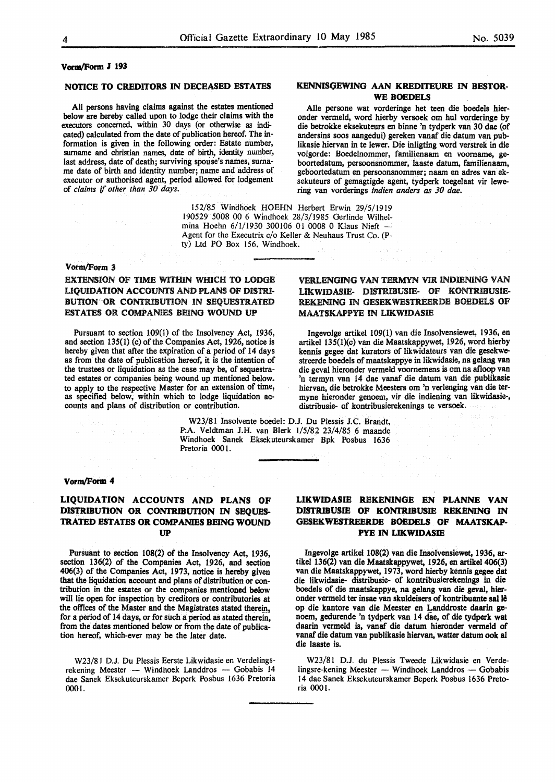### Vorm/Form J 193

#### **NOTICE TO CREDITORS IN DECEASED ESTATES**

All persons having claims against the estates mentioned below are hereby called upon to lodge their claims with the executors concerned. within 30 days (or otherwise as indicated) calculated from the date of publication hereof. The information is given in the following order: Estate number, surname and christian names, date of birth, identity number, last address, date of death; surviving spouse's names, surname date of birth and identity number; name and address of executor or authorised agent, period allowed for lodgement of *claims* ff *other than 30 days.* 

### **KENNISGEWING AAN KREDITEURE IN BESTOR-WE BOEDELS**

Alie persone wat vorderinge het teen die boedels hieronder vermeld, word hierby versoek om hut vorderinge by die betrokke eksekuteurs en binne 'n tydperk van 30 dae (of andersins soos aangedui) gereken vanaf die datum van publikasie hiervan in te lewer. Die inligting word verstrek in die volgorde: Boedelnommer, familienaam en voorname, geboortedatum, persoonsnommer, laaste datum, familienaam, geboortedatum en persoonsnommer; naam en adres van eksekuteurs of gemagtigde agent, tydperk toegelaat vir lewering van vorderings *indien anders as 30 dae.* 

152/85 Windhoek HOEHN Herbert Erwin 29/5/1919 190529 5008 00 6 Windhoek 28/3/1985 Gerlinde Wilhelmina Hoehn  $6/1/1930$  300106 01 0008 0 Klaus Nieft -Agent for the Executrix c/o Keller & Neuhaus Trust Co. (Pty) Ltd PO Box 156. Windhoek.

#### **Vorm/Form 3**

### EXTENSION OF TIME WITHIN WHICH TO LODGE LIQUIDATION ACCOUNTS AND PLANS OF DISTRI-BUTION OR CONTRIBUTION IN SEQUESTRATED ESTATES OR COMPANIES BEING WOUND UP

Pursuant to section 109(1) of the Insolvency Act, 1936, and section 135(1) (c) of the Companies Act, 1926, notice is hereby given that after the expiration of a period of 14 days as from the date of publication hereof, it is the intention of the trustees or liquidation as the case may be, of sequestrated estates or companies being wound up mentioned below. to apply to the respective Master for an extension of time, as specifiecl below, within which to lodge liquidation accounts and plans of distribution or contribution.

### VERLENGING VAN TERMYN VIR INDIBNING VAN LIKWIDASIE- DISTRIBUSIE- OF KONTRIBUSIE-RBKENING IN GESBKWESTREERDE BOEDELS OF MAATSKAPPYE IN LIKWIDASIE

lngevolge artikel 109(1) van die Insolvensiewet, 1936, en artikel 135(1)(c) van die Maatskappywet, 1926, word hierby kennis gegee dat kurators of likwidateurs van die gesekwestreerde boedels of maatskappye in likwidasie, na gelang van die geval hieronder vermeld voornemens is om na afloop van 'n termyn van 14 dae vanaf die datum van die publikasie hiervan, die betrokke Meesters om 'n verlenging van die termyne hieronder genoem, vir die indiening van likwidasie-, distribusie- of kontribusierekenings te versoek.

W23/81 Insolvente boedel: D.J. Du Plessis J.C. Brandt. P:A. Veldtman J.H. van Blerk 1/5/82 23/4/85 6 maande Windhoek Sanek Eksekuteurskamer Bpk Posbus 1636 Pretoria 0001.

#### **Voran/Form 4**

### **LIQUIDATION ACCOUNTS AND PLANS OF DISTRIBUTION OR CONTRIBUTION IN SEQUES-TRATED ESTATES OR COMPANIES BEING WOUND UP**

Pursuant to section 108(2) of the Insolvency Act, 1936, section 136(2) of the Companies Act, 1926, and section 406(3) of the Companies Act, 1973, notice is hereby given that the liquidation account and plans of distribution or contribution in the estates or the companies mentioned below will lie open for inspection by creditors or contributories at the offices of the Master and the Magistrates stated therem, for a period of 14 days, or for such a period as stated therein, from the dates mentioned below or from the date of publication hereof, which-ever may be the later date.

W23/8 I D.J. Du Plessis Eerste Likwidasie en Verdelingsrekening Meester - Windhoek Landdros - Gobabis 14 dae Sanek Eksekuteurskamer Beperk Posbus 1636 Pretoria 0001.

### **LIKWIDASIE REKENINGE EN PLANNE VAN DISTRIBUSIE OF KONTRIBUSIE REKENING** IN **GESEKWESTREERDE BOEDELS OF MAATSKAP-PYE IN LIKWIDASIE**

Ingevolge artikel 108(2) van die Insolvensiewet, 1936, artikel 136(2) van die Maatskappywet, 1926, en artikel 406(3) van die Maatskappywet, 1973, word hierby kennis gegee dat die likwidasie- distribusie- of kontribusierekenings in die boedels of die maatskappye, na gelang van die geval, hieronder vermeld ter insae van skuldeisers of kontribuante sal le op die kantore van die Meester en Landdroste daarin genoem, **gedurende** 'n **tydperk van 14 dae,** of **die tydperk wat daarin vermeld** is, **vanaf die datum** hieronder **vermeld of vanaf die** datum van publikasie **hiervan, watter datum ook al die laaste is.** 

W23/81 D.J. du Plessis Tweede Likwidasie en Verde $l$ ingsre-kening Meester - Windhoek Landdros - Gobabis 14 dae Sanek Eksekuteurskamer Beperk Posbus 1636 Pretoria 0001.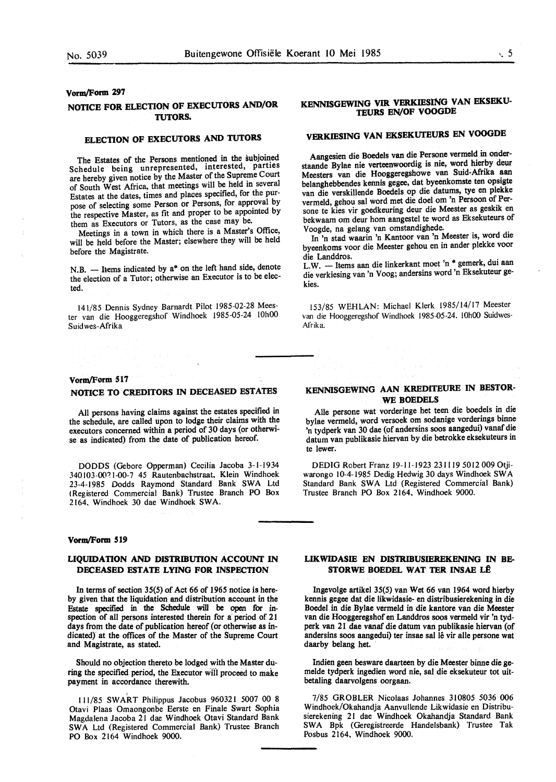#### **Vorm/Form 297**

### **NOTICE FOR ELECTION OF EXECUTORS AND/OR TUTORS.**

### **ELECTION OF EXECUTORS AND TUTORS**

The Estates of the Persons mentioned in the subjoined Schedule being unrepresented, interested, parties are hereby given notice by the Master of the Supreme Court of South West Africa, that meetings will be held in several Estates at the dates, times and places specified, for the purpose of selecting some Person or Persons, for approval by the respective Master, as fit and proper to be appointed by them as Executors or Tutors, as the case may be.

Meetings in a town in which there is a Master's Office, will be held before the Master; elsewhere they will be held before the Magistrate.

 $N.B.$  - Items indicated by  $a^*$  on the left hand side, denote the election of a Tutor; otherwise an Executor is to be elected.

141/85 Dennis Sydney Barnardt Pilot 1985-02-28 Meester van die Hooggeregshof Windhoek 1985-05-24 10h00 Suidwes-Afrika

### vorm/Form 517 **NOTICE TO CREDITORS IN DECEASED ESTATES**

All persons having claims against the estates specified in the schedule, are called upon to lodge their claims with the executors concerned within a period of 30 days (or otherwise as indicated) from the date of publication hereof.

DODDS (Gebore Opperman) Cecilia Jacoba 3-1-1934 340103-00?1-00-7 45 Rautenbachstraat, Klein Windhoek 23-4-1985 Dodds Raymond Standard Bank SWA Ltd (Registered Commercial Bank) Trustee Branch PO Box 2164. Windhoek 30 dae Windhoek SWA.

#### **Vorm/Form 519**

### **LIQUIDATION AND DISTRIBUTION ACCOUNT** IN **DECEASED ESTATE LYING FOR INSPECTION**

In terms of section 35(5) of Act 66 of 1965 notice is hereby given that the liquidation and distribution account in the Estate specified in the Schedule will be open for inspection of all persons interested therein for a period of 21 days from the date of publication hereof (or otherwise as indicated) at the offices of the Master of the Supreme Court and Magistrate, as stated.

Should no objection thereto be lodged with the Master during the specified period, the Executor wlil proceed to make payment in accordance therewith.

111/85 SWART Philippus Jacobus 960321 5007 00 8 Otavi Plaas Omaongonbe Eerste en Finale Swart Sophia Magdalena Jacoba 21 dae Windhoek Otavi Standard Bank SWA Ltd (Registered Commercial Bank) Trustee Branch PO Box 2164 Windhoek 9000.

### **KENNISGEWING VIR VERKIESlNG VAN EKSEKU-TEURS EN/OF VOOGDE**

## **VERKIESING VAN EKSEKUTEURS EN VOOGDE**

Aangesien die Boedels van die Persone vermeld in onderstaande Bylae nie verteenwoordig is nie, word hierby deur Meesters van die Hooggeregshowe van Suid-Afrika aan belanghebbendes kennis gegee, dat byeenkomste ten opsigte van die verskillende Boedels op die datums, tye en plekke vermeld, gehou sal word met die doel om 'n Persoon of Persone te kies vir goedkeuring deur die Meester as geskik en bekwaam om deur horn aangestel te word as Eksekuteurs of Voogde, na gelang van omstandighede.

In 'n stad waarin 'n Kantoor van 'n Meester is, word die byeenkoms voor die Meester gehou en in ander plekke voor die Landdros.

L.W. - Hems aan die linkerkant moet 'n \* gemerk, dui aan die verkiesing van 'n Voog; andersins word 'n Eksekuteur gekies.

153/85 WEHLAN: Michael Klerk 1985/14/17 Meester van die Hooggeregshof Windhoek 1985-05-24. 10h00 Suidwes-Afrika.

### **KENNISGEWING AAN KREDITEURE IN BESTOR-WE BOEDELS**

Alle persone wat vorderinge het teen die boedels in die bylae vermeld, word versoek om sodanige vorderings binne 'n tydperk van 30 dae (of andersins soos aangedui) vanaf die datum van publikasie hiervan by die betrokke eksekuteurs in te lewer.

DEDIG Robert Franz 19-11-1923 231119 5012 009 Otjiwarongo 10-4-1985 Dedig Hedwig 30 days Windhoek SW A Standard Bank SWA Ltd (Registered Commercial Bank) Trustee Branch PO Box 2164, Windhoek 9000.

### **LIKWIDASIE EN DISTRIBUSIEREKENING IN BE-STORWE BOEDEL WAT TER INSAE LÊ**

lngevolge artikel 35(5) van Wet 66 van 1964 word hierby kennis gegee dat die likwidasie- en distribusierekening in die Boedel in die Bylae vermeld in die kantore van die Meester van die Hooggeregshof en Landdros soos vermeld vir 'n tydperk van 21 dae vanaf die datum van publikasie hiervan (of andersins soos aangedui) ter insae sal lê vir alle persone wat daarby belang het.

Indien geen besware daarteen by die Meester binne die gemelde tydperk ingedien word nie, sat die eksekuteur tot uitbetaling daarvolgens oorgaan.

7/85 GROBLER Nicolaas Johannes 310805 5036 006 Windhoek/Okahandja Aanvullende Likwidasie en Distribusierekening 21 dae Windhoek Okahandja Standard Bank SWA Bpk (Geregistreerde Handelsbank) Trustee Tak Posbus 2164, Windhoek 9000.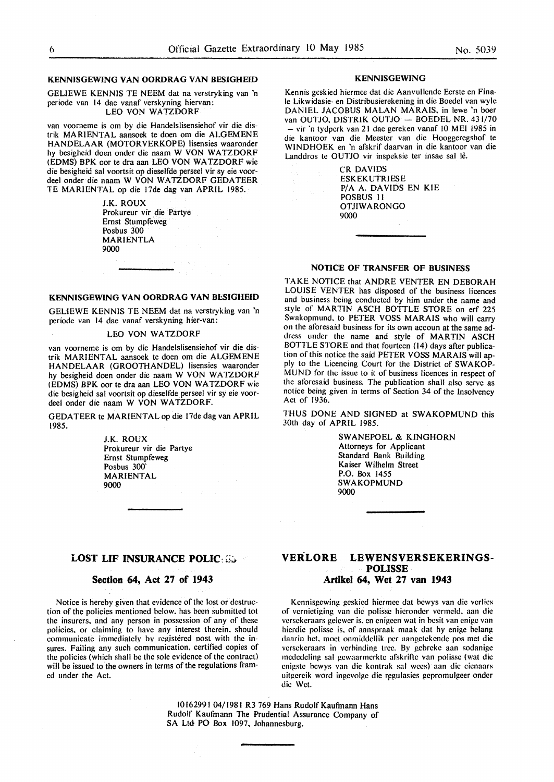### **KENNISGEWING VAN OORDRAG VAN BESIGHEID**

GELIEWE KENNIS TE NEEM dat na verstryking van 'n periode van 14 dae vanaf verskyning hiervan: LEO VON WATZDORF

van voorneme is om by die Handelslisensiehof vir die distrik MARIENTAL aansoek te doen om die ALGEMENE HANDELAAR (MOTORVERKOPE) lisensies waaronder hy besigheid doen onder die naam W VON WATZDORF (EDMS) BPK oor te dra aan LEO VON WATZDORF wie die besigheid sal voortsit op dieselfde perseel vir sy eie voordeel onder die naam W VON WATZDORF GEDATEER TE MARIENTAL op die !?de dag van APRIL 1985.

> J.K. ROUX Prokureur vir die Partye Ernst Stumpfeweg Posbus 300 MARIENTLA 9000

#### **KENNISGEWING VAN OORDRAG VAN BESIGHEID**

GELIEWE KENNIS TE NEEM dat na verstryking van 'n periode van 14 dae vanaf verskyning hier-van:

#### LEO VON WATZDORF

van voorneme is om by die Handelslisensiehof vir die distrik MARIENTAL aansoek te doen om die ALGEMENE HANDELAAR (GROOTHANDEL) lisensies waaronder hy besigheid doen onder die naam W VON WATZDORF (EDMS) BPK oor te dra aan LEO VON WATZDORF wie die besigheid sal voortsit op dieselfde perseel vir sy eie voordeel onder die naam W VON WATZDORF.

GEDATEER te MARIENTAL op die I ?de dag van APRIL 1985.

> J.K. ROUX Prokureur vir die Partye Ernst Stumpfeweg Posbus 300' **MARI** ENT AL 9000

### **LOST LIF INSURANCE POLIC:**  $\mathbb{G}_2$

### **Section 64, Act 27 of 1943**

Notice is hereby given that evidence of the lost or destruction of the policies mentioned below. has been submitted tot the insurers. and any person in possession of any of these policies. or claiming to have any interest therein. should communicate immediately by registered post with the insures. Failing any such communication, certified copies of the policies (which shall be the sole evidence of the contract) will be issued to the owners in terms of the regulations framed under the Act.

#### **KENNISGEWING**

Kennis geskied hiermee dat die Aanvullende Eerste en Finale Likwidasie- en Distribusierekening in die Boedel van wyle DANIEL JACOBUS MALAN MARAIS. in lewe 'n boer van OUTJO, DISTRIK OUTJO - BOEDEL NR. 431/70 - vir 'n tydperk van 21 dae gereken vanaf IO MEI 1985 in die kantoor van die Meester van die Hooggeregshof te WINDHOEK en 'n afskrif daarvan in die kantoor van die Landdros te OUTJO vir inspeksie ter insae sal lê.

> CR DAVIDS **ESKEKUTRIESE** P/A A. DAVIDS EN KIE POSBUS 11 OTJIWARONGO 9000

### **NOTICE OF TRANSFER OF BUSINESS**

TAKE NOTICE that ANDRE VENTER EN DEBORAH LOUISE VENTER has disposed of the business licences and business being conducted by him under the name and style of MARTIN ASCH BOTTLE STORE on erf 225 Swakopmund. to PETER VOSS MARAIS who will carry on the aforesaid business for its own accoun at the same address under the name and style of MARTIN ASCH BOTTLE STORE and that fourteen (14) days after publication of this notice the said PETER VOSS MARAIS will apply to the Licencing Court for the District of **SWAKOP-**MUND for the issue to it of business licences in respect of the aforesaid business. The publication shall also serve as notice being given in terms of Section 34 of the Insolvency Act of 1936.

THUS DONE AND SIGNED at SWAKOPMUND this 30th day of APRIL 1985.

> SWANEPOEL & KINGHORN Attorneys for Applicant Standard Bank Building Kaiser Wilhelm Street P.O. Box 1455 **SWAKOPMUND**  9000

### **VERLORE LEWENSVERSEKERINGS-POLISSE Artikel 64, Wet 27 van 1943**

Kennisgewing geskied hiermee dat bewys van die verlies of vernietiging van die polisse hieronder vermeld. aan die versekeraars gelewer is. en enigeen wat in besit van enige van hierdie polisse is. of aanspraak maak dat hy enige bclang daarin het. moet onmiddellik per aangetckende pos met die versekeraars in verbinding tree. By gebrekc aan sodanige mededeling sal gewaarmcrkte afskrifte van polissc (wat die enigste bewys van die kontrak sal wees) aan die eienaars uitgereik word ingevolge die regulasies gepromulgeer onder die Wet.

l0162991 04/1981 R3 769 Hans Rudolf Kaufmann Hans Rudolf Kaufmann The Prudential Assurance Company of SA Ltd PO Box 1097, Johannesburg.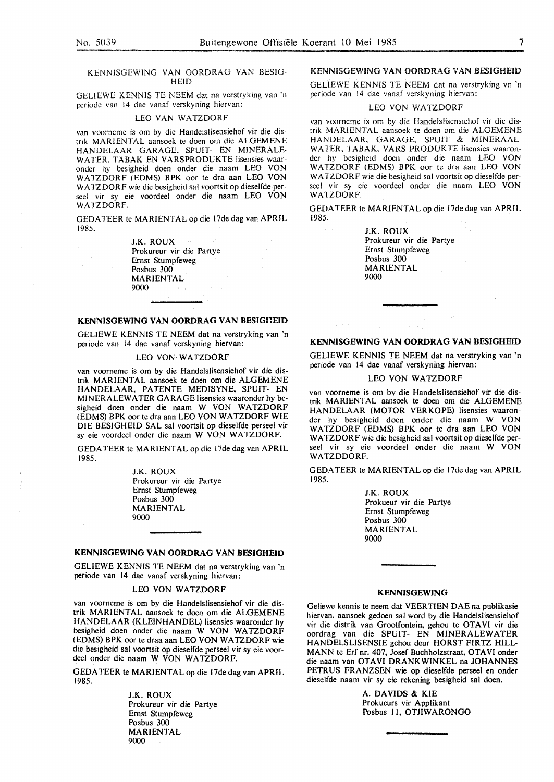### KENNISGEWING VAN OORDRAG VAN BESIG-**HEID**

GELJEWE KENNIS TE NEEM dat na verstryking van 'n periode van 14 dae vanaf verskyning hiervan:

#### LEO VAN WATZDORF

van voornemc is om by die Handelslisensiehof vir die distrik MARIENTAL aansoek te doen om die ALGEMENE HANDELAAR GARAGE. SPUIT- EN MINERALE-WATER. TABAK EN VARSPRODUKTE lisensies waaronder hy besigheid doen onder die naam LEO VON WATZDORF (EDMS) BPK oor te dra aan LEO VON WATZDORF wie die besigheid sal voortsit op dieselfde perseel vir sy cie voordeel onder die naam LEO VON WATZDORF.

GEDATEER te MARIENTAL op die 17de dag van APRIL 1985.

> J.K. ROUX Prokureur vir die Partye Ernst Stumpfeweg Posbus 300 **MARIENTAL** 9000

### **KENNISGEWING VAN OORDRAG VAN BESIGUEID**

GELIEWE KENNIS TE NEEM dat na verstryking van 'n periode van 14 dae vanaf verskyning hiervan:

#### LEO VON WATZDORF

van voorneme is om by die Handelslisensiehof vir die distrik MARIENTAL aansoek te doen om die ALGEMENE HANDELAAR. PATENTE MEDISYNE. SPUIT- EN MINERALEWATER GARAGE lisensies waaronder hy besigheid doen onder die naam W VON WATZDORF (EDMS) BPK oor tedra aan LEO VON WATZDORF WIE DIE BESIGHEID SAL sal voortsit op dieselfde perseel vir sy eie voordeel onder die naam W VON WATZDORF.

GEDA TEER te MARIENTAL op die I 7de dag van APRIL 1985.

> J.K. ROUX Prokureur vir die Partye Ernst Stumpfeweg Posbus 300 MARIENTAL 9000

### **KENNISGEWING VAN OORDRAG VAN BESIGHEID**

GELIEWE KENNIS TE NEEM dat na verstryking van 'n periode van 14 dae vanaf verskyning hiervan:

#### LEO VON WATZDORF

van voorneme is om by die Handelslisensiehof vir die distrik MARIENTAL aansoek te doen om die ALGEMENE HANDELAAR (KLEINHANDEL) lisensies waaronder hy besigheid doen onder die naam W VON WATZDORF I EDMS) BPK oor te draa aan LEO VON WA TZDORF wie die besigheid sal voortsit op dieselfde perseel vir sy eie voordeel onder die naam W VON WATZDORF.

GEDATEER te MARIENTAL op die 17de dag van APRIL 1985.

> J.K. ROUX Prokureur vir die Partye Ernst Stumpfeweg Posbus 300 **MARIENTAL 9000**

### KENNISGEWING VAN OORDRAG VAN BESIGHEID

GELIEWE KENNIS TE NEEM dat na verstryking vn 'n periode van 14 dae vanaf verskyning hiervan:

#### LEO VON WATZDORF

van voorneme is om by die Handelslisensiehof vir die distrik MARIENTAL aansoek te doen om die ALGEMENE HANDELAAR. GARAGE, SPUIT & MINERAAL-WATER. TABAK, VARS PRODUKTE lisensies waaronder hy besigheid doen onder die naam LEO VON WATZDORF (EDMS) BPK oor te dra aan LEO VON WA TZDORF wie die besigheid sal voortsit op dieselfde perseel vir sy eie voordeel onder die naam LEO VON WATZDORF.

GEDATEER te MARIENTAL op die l7dedag van APRIL 1985.

> J.K. ROUX Prokureur vir die Partye Ernst Stumpfeweg Posbus 300 MARIENTAL 9000

### **KENNISGEWING VAN OORDRAG VAN BESIGHEID**

GELIEWE KENNIS TE NEEM dat na verstryking van 'n periode van 14 dae vanaf verskyning hiervan:

#### LEO VON WATZDORF

van voorneme is om by die Handelslisensiehof vir die distrik MARIENTAL aansoek te doen om die ALGEMENE HANDELAAR (MOTOR VERKOPE) lisensies waaronder hy besigheid doen onder die naam W VON WATZDORF (EDMS) BPK oor te dra aan LEO VON WA TZDOR F wie die besigheid sal voortsit op dieselfde perseel vir sy eie voordeel onder die naam W VON WATZDDORF.

GEDATEER te MARIENTAL op die 17de dag van APRIL 1985.

> J.K. ROUX Prokueur vir die Partye Ernst Stumpfeweg Posbus 300 MARIENTAL 9000

#### **KENNISGEWING**

Geliewe kennis te neem dat VEERTIEN DAE na publikasie hiervan, aansoek gedoen sal word by die Handelslisensiehof vir die distrik van Grootfontein, gehou te OTAVI vir die oordrag van die SPUIT- EN MINERALEWATER HANDELSLISENSIE gehou deur HORST FIRTZ HILL-MANN te Erf nr. 407, Josef Buchholzstraat, OTA VI onder die naam van OTAVI DRANKWINKEL na JOHANNES PETRUS FRANZSEN wie op dieselfde perseel en onder dieselfde naam vir sy eie rekening besigheid sal doen.

> A. DAVIDS & **KIE**  Prokueurs vir Applikant Posbus 11, OTJIWARONGO